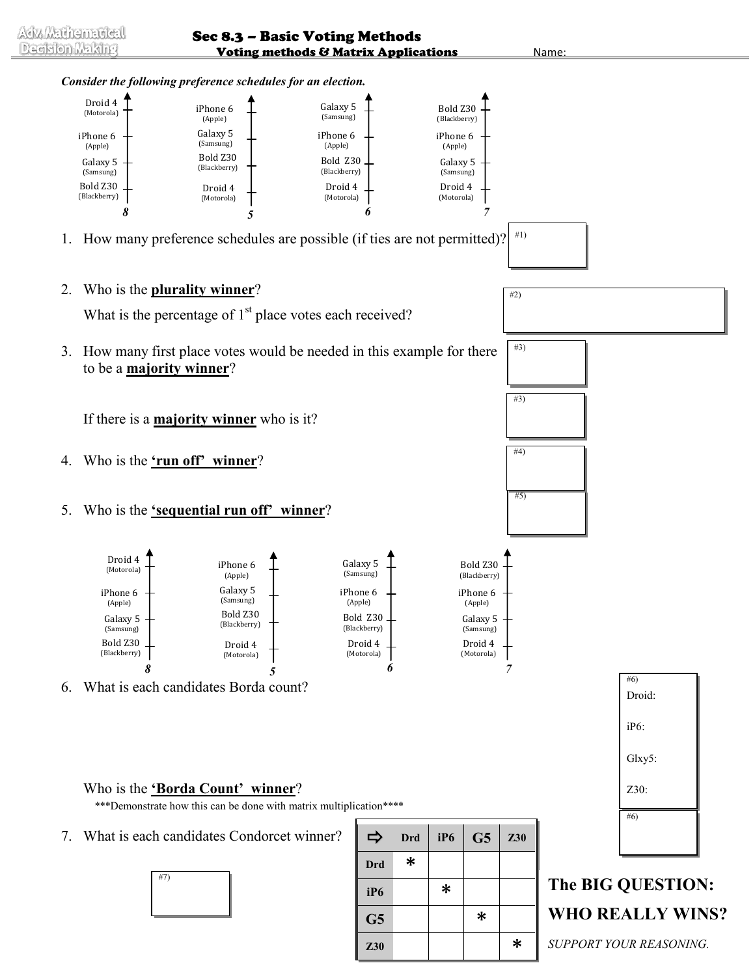

*SUPPORT YOUR REASONING.*

Adv. Mathematical Decision Making

Sec 8.3 – Basic Voting Methods